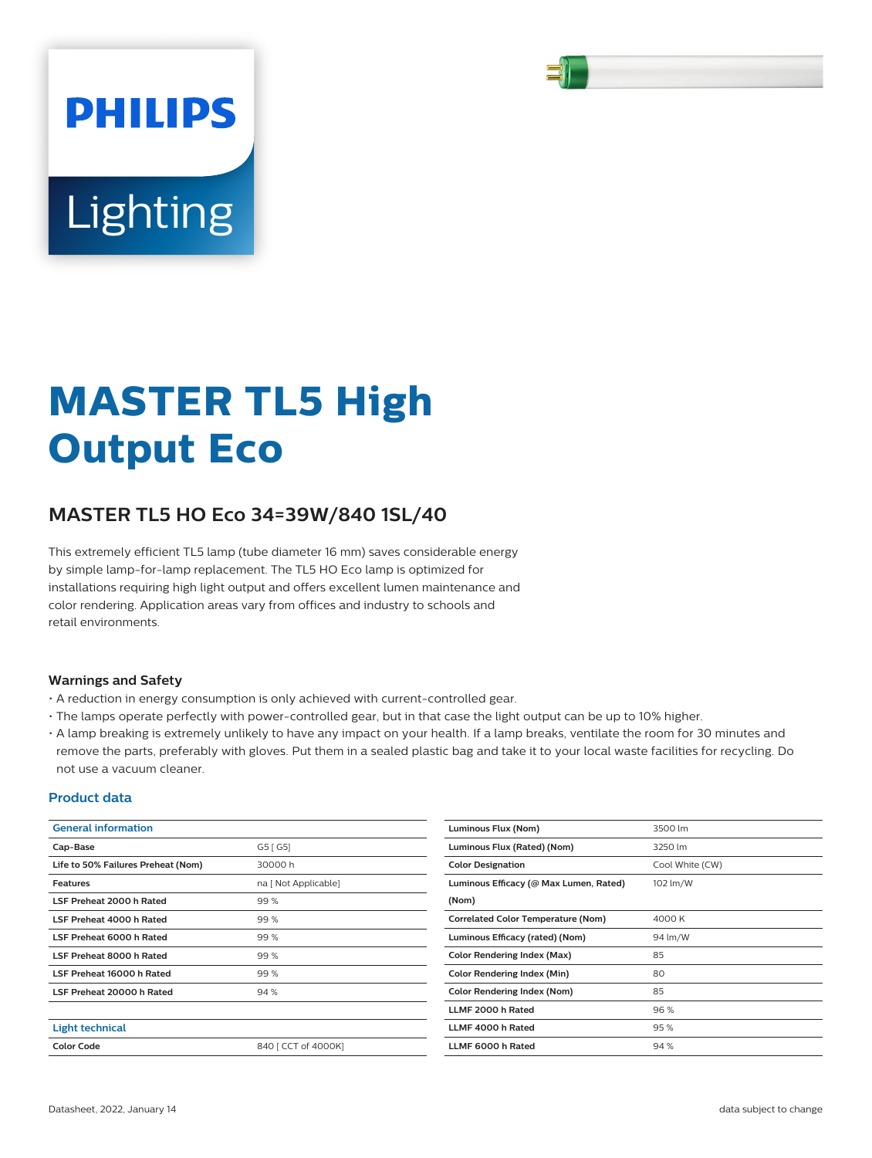

# Lighting

**PHILIPS** 

# **MASTER TL5 High Output Eco**

# **MASTER TL5 HO Eco 34=39W/840 1SL/40**

This extremely efficient TL5 lamp (tube diameter 16 mm) saves considerable energy by simple lamp-for-lamp replacement. The TL5 HO Eco lamp is optimized for installations requiring high light output and offers excellent lumen maintenance and color rendering. Application areas vary from offices and industry to schools and retail environments.

## **Warnings and Safety**

- A reduction in energy consumption is only achieved with current-controlled gear.
- The lamps operate perfectly with power-controlled gear, but in that case the light output can be up to 10% higher.
- A lamp breaking is extremely unlikely to have any impact on your health. If a lamp breaks, ventilate the room for 30 minutes and remove the parts, preferably with gloves. Put them in a sealed plastic bag and take it to your local waste facilities for recycling. Do not use a vacuum cleaner.

#### **Product data**

| <b>General information</b>         |                      | Luminous Flux (Nom)                       | 3500 lm         |
|------------------------------------|----------------------|-------------------------------------------|-----------------|
| Cap-Base                           | G5 [G5]              | Luminous Flux (Rated) (Nom)               | 3250 lm         |
| Life to 50% Failures Preheat (Nom) | 30000h               | <b>Color Designation</b>                  | Cool White (CW) |
| <b>Features</b>                    | na [ Not Applicable] | Luminous Efficacy (@ Max Lumen, Rated)    | 102 lm/W        |
| LSF Preheat 2000 h Rated           | 99%                  | (Nom)                                     |                 |
| LSF Preheat 4000 h Rated           | 99 %                 | <b>Correlated Color Temperature (Nom)</b> | 4000 K          |
| LSF Preheat 6000 h Rated           | 99%                  | Luminous Efficacy (rated) (Nom)           | 94 lm/W         |
| LSF Preheat 8000 h Rated           | 99%                  | <b>Color Rendering Index (Max)</b>        | 85              |
| LSF Preheat 16000 h Rated          | 99%                  | <b>Color Rendering Index (Min)</b>        | 80              |
| LSF Preheat 20000 h Rated          | 94 %                 | <b>Color Rendering Index (Nom)</b>        | 85              |
|                                    |                      | LLMF 2000 h Rated                         | 96%             |
| <b>Light technical</b>             |                      | LLMF 4000 h Rated                         | 95%             |
| <b>Color Code</b>                  | 840   CCT of 4000K]  | LLMF 6000 h Rated                         | 94%             |
|                                    |                      |                                           |                 |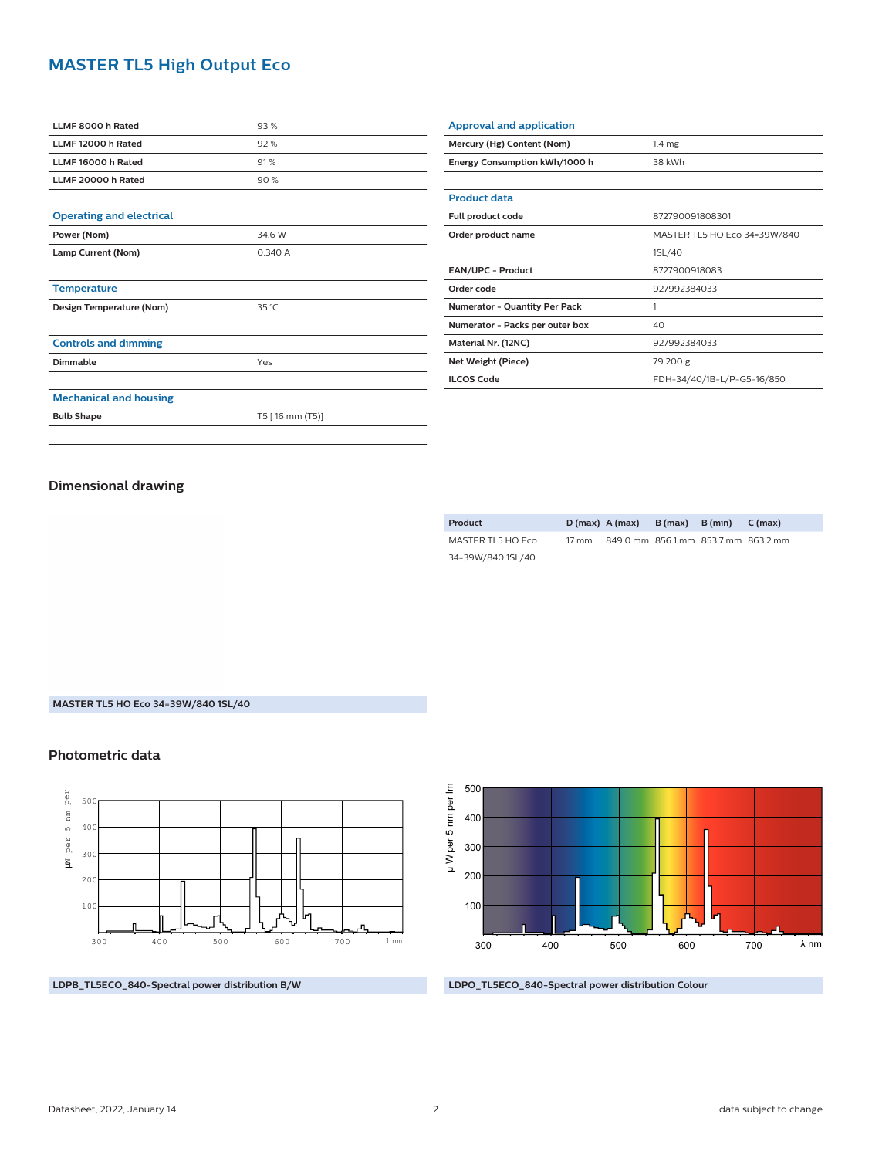# **MASTER TL5 High Output Eco**

| LLMF 8000 h Rated               | 93%             |  |  |  |
|---------------------------------|-----------------|--|--|--|
| LLMF 12000 h Rated              | 92%             |  |  |  |
| LLMF 16000 h Rated              | 91%             |  |  |  |
| LLMF 20000 h Rated              | 90%             |  |  |  |
|                                 |                 |  |  |  |
| <b>Operating and electrical</b> |                 |  |  |  |
| Power (Nom)                     | 34.6 W          |  |  |  |
| Lamp Current (Nom)              | 0.340 A         |  |  |  |
|                                 |                 |  |  |  |
| <b>Temperature</b>              |                 |  |  |  |
| Design Temperature (Nom)        | 35 °C           |  |  |  |
|                                 |                 |  |  |  |
| <b>Controls and dimming</b>     |                 |  |  |  |
| Dimmable                        | Yes             |  |  |  |
|                                 |                 |  |  |  |
| <b>Mechanical and housing</b>   |                 |  |  |  |
| <b>Bulb Shape</b>               | T5 [16 mm (T5)] |  |  |  |
|                                 |                 |  |  |  |

| <b>Approval and application</b>      |                              |  |  |  |
|--------------------------------------|------------------------------|--|--|--|
| Mercury (Hg) Content (Nom)           | $1.4 \mathrm{mg}$            |  |  |  |
| Energy Consumption kWh/1000 h        | 38 kWh                       |  |  |  |
|                                      |                              |  |  |  |
| <b>Product data</b>                  |                              |  |  |  |
| Full product code                    | 872790091808301              |  |  |  |
| Order product name                   | MASTER TL5 HO Eco 34=39W/840 |  |  |  |
|                                      | 1SL/40                       |  |  |  |
| <b>EAN/UPC - Product</b>             | 8727900918083                |  |  |  |
| Order code                           | 927992384033                 |  |  |  |
| <b>Numerator - Quantity Per Pack</b> | 1                            |  |  |  |
| Numerator - Packs per outer box      | 40                           |  |  |  |
| Material Nr. (12NC)                  | 927992384033                 |  |  |  |
| Net Weight (Piece)                   | 79.200 g                     |  |  |  |
| <b>ILCOS Code</b>                    | FDH-34/40/1B-L/P-G5-16/850   |  |  |  |

#### **Dimensional drawing**

| Product           |       | $D(max)$ $A(max)$ $B(max)$ $B(min)$ |  | C (max)                             |
|-------------------|-------|-------------------------------------|--|-------------------------------------|
| MASTER TL5 HO Eco | 17 mm |                                     |  | 849.0 mm 856.1 mm 853.7 mm 863.2 mm |
| 34=39W/840 1SL/40 |       |                                     |  |                                     |

#### **MASTER TL5 HO Eco 34=39W/840 1SL/40**

### **Photometric data**



**LDPB\_TL5ECO\_840-Spectral power distribution B/W**



**LDPO\_TL5ECO\_840-Spectral power distribution Colour**